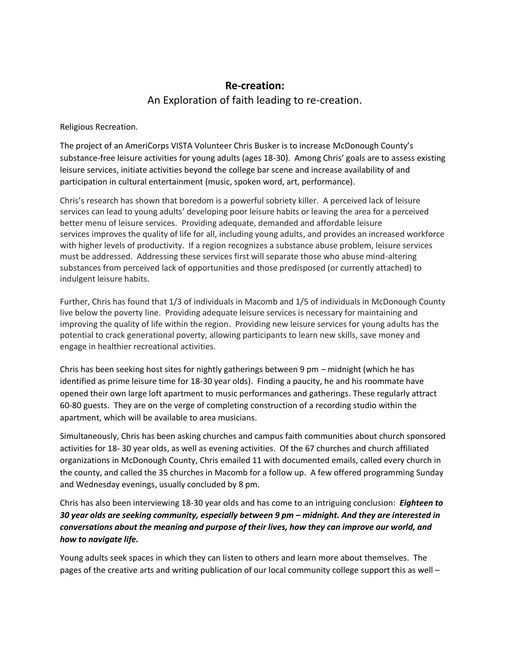## **Re-creation:** An Exploration of faith leading to re-creation.

Religious Recreation.

The project of an AmeriCorps VISTA Volunteer Chris Busker is to increase McDonough County's substance-free leisure activities for young adults (ages 18-30). Among Chris' goals are to assess existing leisure services, initiate activities beyond the college bar scene and increase availability of and participation in cultural entertainment (music, spoken word, art, performance).

Chris's research has shown that boredom is a powerful sobriety killer. A perceived lack of leisure services can lead to young adults' developing poor leisure habits or leaving the area for a perceived better menu of leisure services. Providing adequate, demanded and affordable leisure services improves the quality of life for all, including young adults, and provides an increased workforce with higher levels of productivity. If a region recognizes a substance abuse problem, leisure services must be addressed. Addressing these services first will separate those who abuse mind-altering substances from perceived lack of opportunities and those predisposed (or currently attached) to indulgent leisure habits.

Further, Chris has found that 1/3 of individuals in Macomb and 1/5 of individuals in McDonough County live below the poverty line. Providing adequate leisure services is necessary for maintaining and improving the quality of life within the region. Providing new leisure services for young adults has the potential to crack generational poverty, allowing participants to learn new skills, save money and engage in healthier recreational activities.

Chris has been seeking host sites for nightly gatherings between 9 pm – midnight (which he has identified as prime leisure time for 18-30 year olds). Finding a paucity, he and his roommate have opened their own large loft apartment to music performances and gatherings. These regularly attract 60-80 guests. They are on the verge of completing construction of a recording studio within the apartment, which will be available to area musicians.

Simultaneously, Chris has been asking churches and campus faith communities about church sponsored activities for 18-30 year olds, as well as evening activities. Of the 67 churches and church affiliated organizations in McDonough County, Chris emailed 11 with documented emails, called every church in the county, and called the 35 churches in Macomb for a follow up. A few offered programming Sunday and Wednesday evenings, usually concluded by 8 pm.

Chris has also been interviewing 18-30 year olds and has come to an intriguing conclusion: *Eighteen to 30 year olds are seeking community, especially between 9 pm – midnight. And they are interested in conversations about the meaning and purpose of their lives, how they can improve our world, and how to navigate life.*

Young adults seek spaces in which they can listen to others and learn more about themselves. The pages of the creative arts and writing publication of our local community college support this as well –